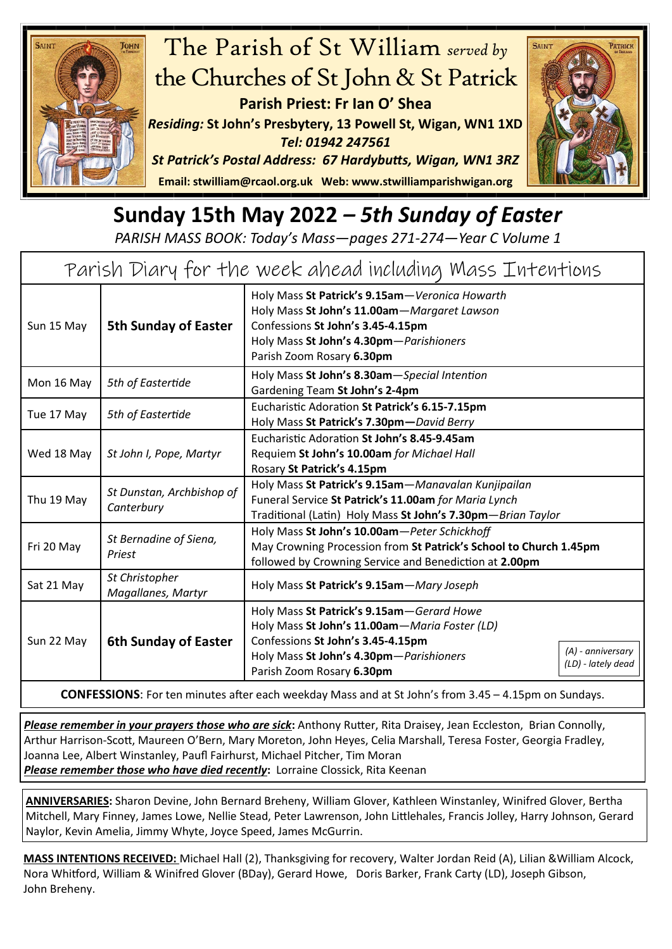

## The Parish of St William *served by* the Churches of St John & St Patrick **Parish Priest: Fr Ian O' Shea** *Residing:* **St John's Presbytery, 13 Powell St, Wigan, WN1 1XD**

*Tel: 01942 247561*



**Email: [stwilliam@rcaol.org.uk](mailto:stwilliam@rcaolp.co.uk) Web: [www.stwilliamparishwigan.org](http://www.stwilliamparishwigan.org)**

## **Sunday 15th May 2022** *– 5th Sunday of Easter*

*PARISH MASS BOOK: Today's Mass—pages 271-274—Year C Volume 1*

| Parish Diary for the week ahead including Mass Intentions                                                   |                                         |                                                                                                                                                                                                                                                    |
|-------------------------------------------------------------------------------------------------------------|-----------------------------------------|----------------------------------------------------------------------------------------------------------------------------------------------------------------------------------------------------------------------------------------------------|
| Sun 15 May                                                                                                  | <b>5th Sunday of Easter</b>             | Holy Mass St Patrick's 9.15am-Veronica Howarth<br>Holy Mass St John's 11.00am-Margaret Lawson<br>Confessions St John's 3.45-4.15pm<br>Holy Mass St John's 4.30pm-Parishioners<br>Parish Zoom Rosary 6.30pm                                         |
| Mon 16 May                                                                                                  | 5th of Eastertide                       | Holy Mass St John's 8.30am-Special Intention<br>Gardening Team St John's 2-4pm                                                                                                                                                                     |
| Tue 17 May                                                                                                  | 5th of Eastertide                       | Eucharistic Adoration St Patrick's 6.15-7.15pm<br>Holy Mass St Patrick's 7.30pm-David Berry                                                                                                                                                        |
| Wed 18 May                                                                                                  | St John I, Pope, Martyr                 | Eucharistic Adoration St John's 8.45-9.45am<br>Requiem St John's 10.00am for Michael Hall<br>Rosary St Patrick's 4.15pm                                                                                                                            |
| Thu 19 May                                                                                                  | St Dunstan, Archbishop of<br>Canterbury | Holy Mass St Patrick's 9.15am-Manavalan Kunjipailan<br>Funeral Service St Patrick's 11.00am for Maria Lynch<br>Traditional (Latin) Holy Mass St John's 7.30pm-Brian Taylor                                                                         |
| Fri 20 May                                                                                                  | St Bernadine of Siena,<br>Priest        | Holy Mass St John's 10.00am-Peter Schickhoff<br>May Crowning Procession from St Patrick's School to Church 1.45pm<br>followed by Crowning Service and Benediction at 2.00pm                                                                        |
| Sat 21 May                                                                                                  | St Christopher<br>Magallanes, Martyr    | Holy Mass St Patrick's 9.15am-Mary Joseph                                                                                                                                                                                                          |
| Sun 22 May                                                                                                  | <b>6th Sunday of Easter</b>             | Holy Mass St Patrick's 9.15am-Gerard Howe<br>Holy Mass St John's 11.00am-Maria Foster (LD)<br>Confessions St John's 3.45-4.15pm<br>(A) - anniversary<br>Holy Mass St John's 4.30pm-Parishioners<br>(LD) - lately dead<br>Parish Zoom Rosary 6.30pm |
| <b>CONFESSIONS:</b> For ten minutes after each weekday Mass and at St John's from 3.45 – 4.15pm on Sundays. |                                         |                                                                                                                                                                                                                                                    |

*Please remember in your prayers those who are sick***:** Anthony Rutter, Rita Draisey, Jean Eccleston, Brian Connolly, Arthur Harrison-Scott, Maureen O'Bern, Mary Moreton, John Heyes, Celia Marshall, Teresa Foster, Georgia Fradley, Joanna Lee, Albert Winstanley, Paufl Fairhurst, Michael Pitcher, Tim Moran *Please remember those who have died recently***:** Lorraine Clossick, Rita Keenan

**ANNIVERSARIES:** Sharon Devine, John Bernard Breheny, William Glover, Kathleen Winstanley, Winifred Glover, Bertha Mitchell, Mary Finney, James Lowe, Nellie Stead, Peter Lawrenson, John Littlehales, Francis Jolley, Harry Johnson, Gerard Naylor, Kevin Amelia, Jimmy Whyte, Joyce Speed, James McGurrin.

**MASS INTENTIONS RECEIVED:** Michael Hall (2), Thanksgiving for recovery, Walter Jordan Reid (A), Lilian &William Alcock, Nora Whitford, William & Winifred Glover (BDay), Gerard Howe, Doris Barker, Frank Carty (LD), Joseph Gibson, John Breheny.